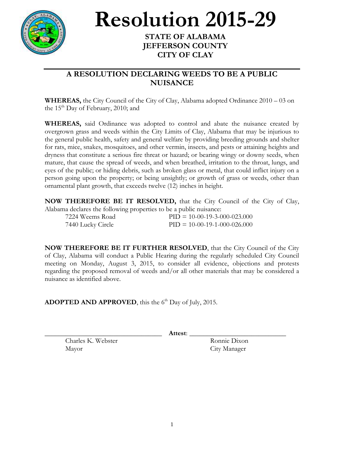

## **Resolution 2015-29**

## **STATE OF ALABAMA JEFFERSON COUNTY CITY OF CLAY**

## **A RESOLUTION DECLARING WEEDS TO BE A PUBLIC NUISANCE**

**WHEREAS,** the City Council of the City of Clay, Alabama adopted Ordinance 2010 – 03 on the  $15<sup>th</sup>$  Day of February, 2010; and

**WHEREAS,** said Ordinance was adopted to control and abate the nuisance created by overgrown grass and weeds within the City Limits of Clay, Alabama that may be injurious to the general public health, safety and general welfare by providing breeding grounds and shelter for rats, mice, snakes, mosquitoes, and other vermin, insects, and pests or attaining heights and dryness that constitute a serious fire threat or hazard; or bearing wingy or downy seeds, when mature, that cause the spread of weeds, and when breathed, irritation to the throat, lungs, and eyes of the public; or hiding debris, such as broken glass or metal, that could inflict injury on a person going upon the property; or being unsightly; or growth of grass or weeds, other than ornamental plant growth, that exceeds twelve (12) inches in height.

**NOW THEREFORE BE IT RESOLVED,** that the City Council of the City of Clay, Alabama declares the following properties to be a public nuisance:

| 7224 Weems Road   | $PID = 10-00-19-3-000-023.000$ |
|-------------------|--------------------------------|
| 7440 Lucky Circle | $PID = 10-00-19-1-000-026.000$ |

**NOW THEREFORE BE IT FURTHER RESOLVED**, that the City Council of the City of Clay, Alabama will conduct a Public Hearing during the regularly scheduled City Council meeting on Monday, August 3, 2015, to consider all evidence, objections and protests regarding the proposed removal of weeds and/or all other materials that may be considered a nuisance as identified above.

ADOPTED AND APPROVED, this the 6<sup>th</sup> Day of July, 2015.

\_\_\_\_\_\_\_\_\_\_\_\_\_\_\_\_\_\_\_\_\_\_\_\_\_\_\_\_\_\_\_\_\_\_ **Attest**: \_\_\_\_\_\_\_\_\_\_\_\_\_\_\_\_\_\_\_\_\_\_\_\_\_\_\_\_

Charles K. Webster Ronnie Dixon Mayor City Manager